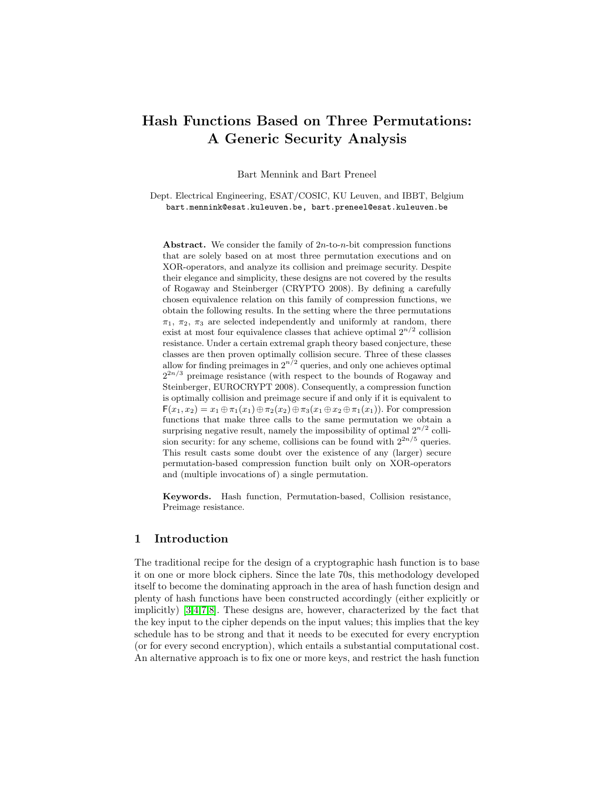# Hash Functions Based on Three Permutations: A Generic Security Analysis

Bart Mennink and Bart Preneel

Dept. Electrical Engineering, ESAT/COSIC, KU Leuven, and IBBT, Belgium bart.mennink@esat.kuleuven.be, bart.preneel@esat.kuleuven.be

Abstract. We consider the family of  $2n$ -to-n-bit compression functions that are solely based on at most three permutation executions and on XOR-operators, and analyze its collision and preimage security. Despite their elegance and simplicity, these designs are not covered by the results of Rogaway and Steinberger (CRYPTO 2008). By defining a carefully chosen equivalence relation on this family of compression functions, we obtain the following results. In the setting where the three permutations  $\pi_1$ ,  $\pi_2$ ,  $\pi_3$  are selected independently and uniformly at random, there exist at most four equivalence classes that achieve optimal  $2^{n/2}$  collision resistance. Under a certain extremal graph theory based conjecture, these classes are then proven optimally collision secure. Three of these classes allow for finding preimages in  $2^{n/2}$  queries, and only one achieves optimal  $2^{2n/3}$  preimage resistance (with respect to the bounds of Rogaway and Steinberger, EUROCRYPT 2008). Consequently, a compression function is optimally collision and preimage secure if and only if it is equivalent to  $F(x_1, x_2) = x_1 \oplus \pi_1(x_1) \oplus \pi_2(x_2) \oplus \pi_3(x_1 \oplus x_2 \oplus \pi_1(x_1)).$  For compression functions that make three calls to the same permutation we obtain a surprising negative result, namely the impossibility of optimal  $2^{n/2}$  collision security: for any scheme, collisions can be found with  $2^{2n/5}$  queries. This result casts some doubt over the existence of any (larger) secure permutation-based compression function built only on XOR-operators and (multiple invocations of) a single permutation.

Keywords. Hash function, Permutation-based, Collision resistance, Preimage resistance.

#### 1 Introduction

The traditional recipe for the design of a cryptographic hash function is to base it on one or more block ciphers. Since the late 70s, this methodology developed itself to become the dominating approach in the area of hash function design and plenty of hash functions have been constructed accordingly (either explicitly or implicitly) [\[3](#page-15-0)[,4,](#page-16-0)[7,](#page-16-1)[8\]](#page-16-2). These designs are, however, characterized by the fact that the key input to the cipher depends on the input values; this implies that the key schedule has to be strong and that it needs to be executed for every encryption (or for every second encryption), which entails a substantial computational cost. An alternative approach is to fix one or more keys, and restrict the hash function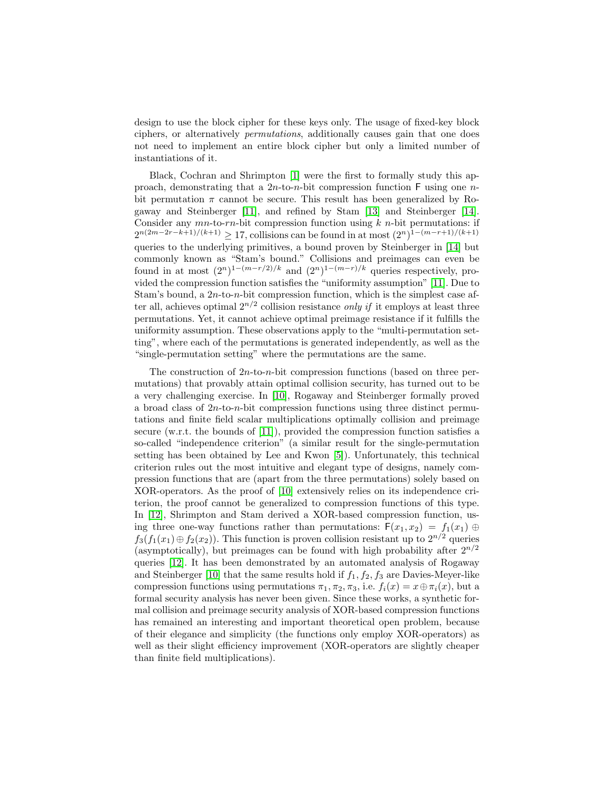design to use the block cipher for these keys only. The usage of fixed-key block ciphers, or alternatively permutations, additionally causes gain that one does not need to implement an entire block cipher but only a limited number of instantiations of it.

Black, Cochran and Shrimpton [\[1\]](#page-15-1) were the first to formally study this approach, demonstrating that a  $2n$ -to-n-bit compression function F using one nbit permutation  $\pi$  cannot be secure. This result has been generalized by Rogaway and Steinberger [\[11\]](#page-16-3), and refined by Stam [\[13\]](#page-16-4) and Steinberger [\[14\]](#page-16-5). Consider any  $mn$ -to-rn-bit compression function using  $k$  n-bit permutations: if  $2^{n(2m-2r-k+1)/(k+1)} \ge 17$ , collisions can be found in at most  $(2^n)^{1-(m-r+1)/(k+1)}$ queries to the underlying primitives, a bound proven by Steinberger in [\[14\]](#page-16-5) but commonly known as "Stam's bound." Collisions and preimages can even be found in at most  $(2^n)^{1-(m-r/2)/k}$  and  $(2^n)^{1-(m-r)/k}$  queries respectively, provided the compression function satisfies the "uniformity assumption" [\[11\]](#page-16-3). Due to Stam's bound, a  $2n$ -to-n-bit compression function, which is the simplest case after all, achieves optimal  $2^{n/2}$  collision resistance *only if* it employs at least three permutations. Yet, it cannot achieve optimal preimage resistance if it fulfills the uniformity assumption. These observations apply to the "multi-permutation setting", where each of the permutations is generated independently, as well as the "single-permutation setting" where the permutations are the same.

The construction of  $2n$ -to-n-bit compression functions (based on three permutations) that provably attain optimal collision security, has turned out to be a very challenging exercise. In [\[10\]](#page-16-6), Rogaway and Steinberger formally proved a broad class of  $2n$ -to-n-bit compression functions using three distinct permutations and finite field scalar multiplications optimally collision and preimage secure (w.r.t. the bounds of [\[11\]](#page-16-3)), provided the compression function satisfies a so-called "independence criterion" (a similar result for the single-permutation setting has been obtained by Lee and Kwon [\[5\]](#page-16-7)). Unfortunately, this technical criterion rules out the most intuitive and elegant type of designs, namely compression functions that are (apart from the three permutations) solely based on XOR-operators. As the proof of [\[10\]](#page-16-6) extensively relies on its independence criterion, the proof cannot be generalized to compression functions of this type. In [\[12\]](#page-16-8), Shrimpton and Stam derived a XOR-based compression function, using three one-way functions rather than permutations:  $F(x_1, x_2) = f_1(x_1) \oplus$  $f_3(f_1(x_1) \oplus f_2(x_2))$ . This function is proven collision resistant up to  $2^{n/2}$  queries (asymptotically), but preimages can be found with high probability after  $2^{n/2}$ queries [\[12\]](#page-16-8). It has been demonstrated by an automated analysis of Rogaway and Steinberger [\[10\]](#page-16-6) that the same results hold if  $f_1, f_2, f_3$  are Davies-Meyer-like compression functions using permutations  $\pi_1, \pi_2, \pi_3$ , i.e.  $f_i(x) = x \oplus \pi_i(x)$ , but a formal security analysis has never been given. Since these works, a synthetic formal collision and preimage security analysis of XOR-based compression functions has remained an interesting and important theoretical open problem, because of their elegance and simplicity (the functions only employ XOR-operators) as well as their slight efficiency improvement (XOR-operators are slightly cheaper than finite field multiplications).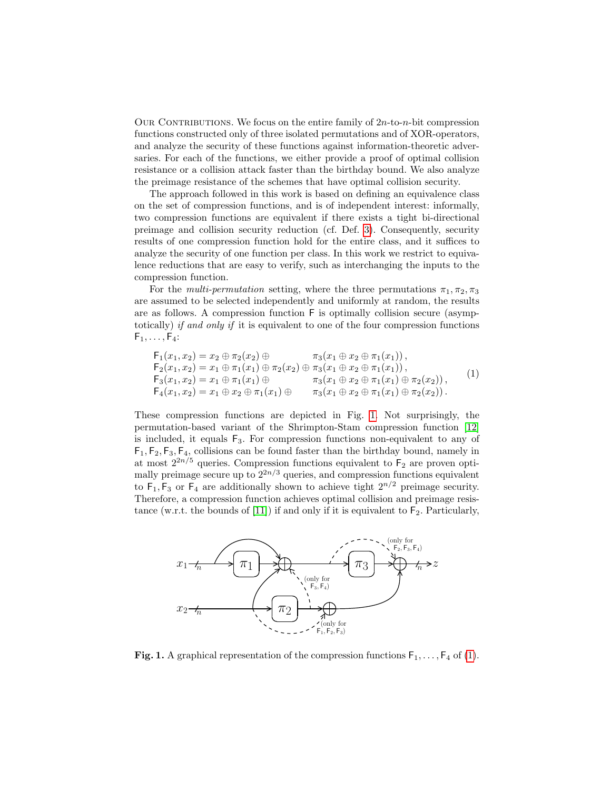OUR CONTRIBUTIONS. We focus on the entire family of  $2n$ -to-n-bit compression functions constructed only of three isolated permutations and of XOR-operators, and analyze the security of these functions against information-theoretic adversaries. For each of the functions, we either provide a proof of optimal collision resistance or a collision attack faster than the birthday bound. We also analyze the preimage resistance of the schemes that have optimal collision security.

The approach followed in this work is based on defining an equivalence class on the set of compression functions, and is of independent interest: informally, two compression functions are equivalent if there exists a tight bi-directional preimage and collision security reduction (cf. Def. [3\)](#page-6-0). Consequently, security results of one compression function hold for the entire class, and it suffices to analyze the security of one function per class. In this work we restrict to equivalence reductions that are easy to verify, such as interchanging the inputs to the compression function.

For the *multi-permutation* setting, where the three permutations  $\pi_1, \pi_2, \pi_3$ are assumed to be selected independently and uniformly at random, the results are as follows. A compression function F is optimally collision secure (asymptotically) if and only if it is equivalent to one of the four compression functions  $F_1, \ldots, F_4$ :

<span id="page-2-1"></span>
$$
F_1(x_1, x_2) = x_2 \oplus \pi_2(x_2) \oplus \pi_3(x_1 \oplus x_2 \oplus \pi_1(x_1)),
$$
  
\n
$$
F_2(x_1, x_2) = x_1 \oplus \pi_1(x_1) \oplus \pi_2(x_2) \oplus \pi_3(x_1 \oplus x_2 \oplus \pi_1(x_1)),
$$
  
\n
$$
F_3(x_1, x_2) = x_1 \oplus \pi_1(x_1) \oplus \pi_3(x_1 \oplus x_2 \oplus \pi_1(x_1) \oplus \pi_2(x_2)),
$$
  
\n
$$
F_4(x_1, x_2) = x_1 \oplus x_2 \oplus \pi_1(x_1) \oplus \pi_3(x_1 \oplus x_2 \oplus \pi_1(x_1) \oplus \pi_2(x_2)).
$$
\n(1)

These compression functions are depicted in Fig. [1.](#page-2-0) Not surprisingly, the permutation-based variant of the Shrimpton-Stam compression function [\[12\]](#page-16-8) is included, it equals  $F_3$ . For compression functions non-equivalent to any of  $F_1, F_2, F_3, F_4$ , collisions can be found faster than the birthday bound, namely in at most  $2^{2n/5}$  queries. Compression functions equivalent to  $F_2$  are proven optimally preimage secure up to  $2^{2n/3}$  queries, and compression functions equivalent to  $F_1, F_3$  or  $F_4$  are additionally shown to achieve tight  $2^{n/2}$  preimage security. Therefore, a compression function achieves optimal collision and preimage resis-tance (w.r.t. the bounds of [\[11\]](#page-16-3)) if and only if it is equivalent to  $F_2$ . Particularly,



<span id="page-2-0"></span>**Fig. 1.** A graphical representation of the compression functions  $F_1, \ldots, F_4$  of [\(1\)](#page-2-1).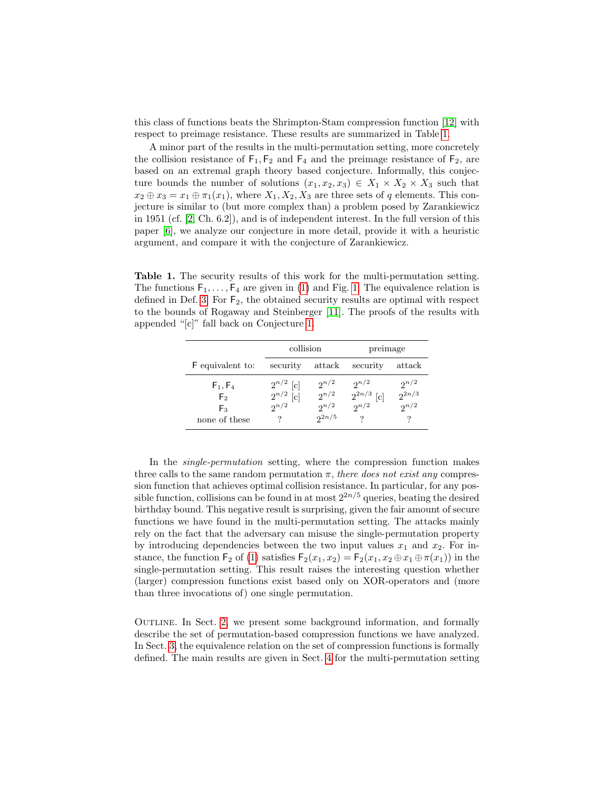this class of functions beats the Shrimpton-Stam compression function [\[12\]](#page-16-8) with respect to preimage resistance. These results are summarized in Table [1.](#page-3-0)

A minor part of the results in the multi-permutation setting, more concretely the collision resistance of  $F_1, F_2$  and  $F_4$  and the preimage resistance of  $F_2$ , are based on an extremal graph theory based conjecture. Informally, this conjecture bounds the number of solutions  $(x_1, x_2, x_3) \in X_1 \times X_2 \times X_3$  such that  $x_2 \oplus x_3 = x_1 \oplus \pi_1(x_1)$ , where  $X_1, X_2, X_3$  are three sets of q elements. This conjecture is similar to (but more complex than) a problem posed by Zarankiewicz in 1951 (cf. [\[2,](#page-15-2) Ch. 6.2]), and is of independent interest. In the full version of this paper [\[6\]](#page-16-9), we analyze our conjecture in more detail, provide it with a heuristic argument, and compare it with the conjecture of Zarankiewicz.

<span id="page-3-0"></span>Table 1. The security results of this work for the multi-permutation setting. The functions  $F_1, \ldots, F_4$  are given in [\(1\)](#page-2-1) and Fig. [1.](#page-2-0) The equivalence relation is defined in Def. [3.](#page-6-0) For  $F_2$ , the obtained security results are optimal with respect to the bounds of Rogaway and Steinberger [\[11\]](#page-16-3). The proofs of the results with appended "[c]" fall back on Conjecture [1.](#page-9-0)

|                  | collision     |            | preimage                       |            |
|------------------|---------------|------------|--------------------------------|------------|
| F equivalent to: | security      | attack     | security                       | attack     |
| $F_1, F_4$       | $2^{n/2}$ [c] | $2^{n/2}$  | $2^{n/2}$                      | $2^{n/2}$  |
| F <sub>2</sub>   | $2^{n/2}$ [c] | $2^{n/2}$  | $\frac{2^{2n/3}}{2^{n/2}}$ [c] | $2^{2n/3}$ |
| Fз.              | $2^{n/2}$     | $2^{n/2}$  |                                | $2^{n/2}$  |
| none of these    |               | $2^{2n/5}$ |                                |            |

In the single-permutation setting, where the compression function makes three calls to the same random permutation  $\pi$ , there does not exist any compression function that achieves optimal collision resistance. In particular, for any possible function, collisions can be found in at most  $2^{2n/5}$  queries, beating the desired birthday bound. This negative result is surprising, given the fair amount of secure functions we have found in the multi-permutation setting. The attacks mainly rely on the fact that the adversary can misuse the single-permutation property by introducing dependencies between the two input values  $x_1$  and  $x_2$ . For instance, the function  $\mathsf{F}_2$  of [\(1\)](#page-2-1) satisfies  $\mathsf{F}_2(x_1, x_2) = \mathsf{F}_2(x_1, x_2 \oplus x_1 \oplus \pi(x_1))$  in the single-permutation setting. This result raises the interesting question whether (larger) compression functions exist based only on XOR-operators and (more than three invocations of) one single permutation.

OUTLINE. In Sect. [2,](#page-4-0) we present some background information, and formally describe the set of permutation-based compression functions we have analyzed. In Sect. [3,](#page-6-1) the equivalence relation on the set of compression functions is formally defined. The main results are given in Sect. [4](#page-8-0) for the multi-permutation setting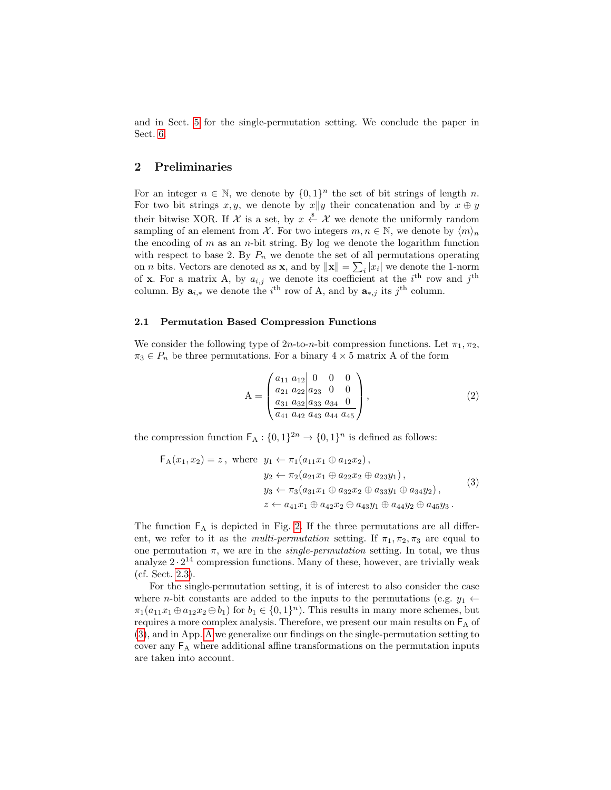and in Sect. [5](#page-13-0) for the single-permutation setting. We conclude the paper in Sect. [6.](#page-14-0)

### <span id="page-4-0"></span>2 Preliminaries

For an integer  $n \in \mathbb{N}$ , we denote by  $\{0,1\}^n$  the set of bit strings of length n. For two bit strings  $x, y$ , we denote by  $x||y$  their concatenation and by  $x \oplus y$ their bitwise XOR. If  $\mathcal X$  is a set, by  $x \stackrel{\hspace{0.1em}\mathsf{\scriptscriptstyle\$}}{\leftarrow} \mathcal X$  we denote the uniformly random sampling of an element from X. For two integers  $m, n \in \mathbb{N}$ , we denote by  $\langle m \rangle_n$ the encoding of  $m$  as an  $n$ -bit string. By log we denote the logarithm function with respect to base 2. By  $P_n$  we denote the set of all permutations operating on *n* bits. Vectors are denoted as **x**, and by  $\|\mathbf{x}\| = \sum_i |x_i|$  we denote the 1-norm of **x**. For a matrix A, by  $a_{i,j}$  we denote its coefficient at the i<sup>th</sup> row and j<sup>th</sup> column. By  $\mathbf{a}_{i,*}$  we denote the i<sup>th</sup> row of A, and by  $\mathbf{a}_{*,j}$  its j<sup>th</sup> column.

#### <span id="page-4-3"></span>2.1 Permutation Based Compression Functions

We consider the following type of  $2n$ -to-n-bit compression functions. Let  $\pi_1, \pi_2$ ,  $\pi_3 \in P_n$  be three permutations. For a binary  $4 \times 5$  matrix A of the form

<span id="page-4-2"></span>
$$
A = \begin{pmatrix} a_{11} & a_{12} & 0 & 0 & 0 \\ a_{21} & a_{22} & a_{23} & 0 & 0 \\ a_{31} & a_{32} & a_{33} & a_{34} & 0 \\ a_{41} & a_{42} & a_{43} & a_{44} & a_{45} \end{pmatrix},
$$
(2)

the compression function  $\mathsf{F}_{\mathsf{A}}: \{0,1\}^{2n} \to \{0,1\}^n$  is defined as follows:

<span id="page-4-1"></span>
$$
\mathsf{F}_{A}(x_{1}, x_{2}) = z, \text{ where } y_{1} \leftarrow \pi_{1}(a_{11}x_{1} \oplus a_{12}x_{2}),
$$
  
\n
$$
y_{2} \leftarrow \pi_{2}(a_{21}x_{1} \oplus a_{22}x_{2} \oplus a_{23}y_{1}),
$$
  
\n
$$
y_{3} \leftarrow \pi_{3}(a_{31}x_{1} \oplus a_{32}x_{2} \oplus a_{33}y_{1} \oplus a_{34}y_{2}),
$$
  
\n
$$
z \leftarrow a_{41}x_{1} \oplus a_{42}x_{2} \oplus a_{43}y_{1} \oplus a_{44}y_{2} \oplus a_{45}y_{3}.
$$
  
\n(3)

The function  $F_A$  is depicted in Fig. [2.](#page-5-0) If the three permutations are all different, we refer to it as the *multi-permutation* setting. If  $\pi_1, \pi_2, \pi_3$  are equal to one permutation  $\pi$ , we are in the *single-permutation* setting. In total, we thus analyze  $2 \cdot 2^{14}$  compression functions. Many of these, however, are trivially weak (cf. Sect. [2.3\)](#page-6-2).

For the single-permutation setting, it is of interest to also consider the case where *n*-bit constants are added to the inputs to the permutations (e.g.  $y_1 \leftarrow$  $\pi_1(a_{11}x_1 \oplus a_{12}x_2 \oplus b_1)$  for  $b_1 \in \{0,1\}^n$ ). This results in many more schemes, but requires a more complex analysis. Therefore, we present our main results on  $F_A$  of [\(3\)](#page-4-1), and in App. [A](#page-16-10) we generalize our findings on the single-permutation setting to cover any  $F_A$  where additional affine transformations on the permutation inputs are taken into account.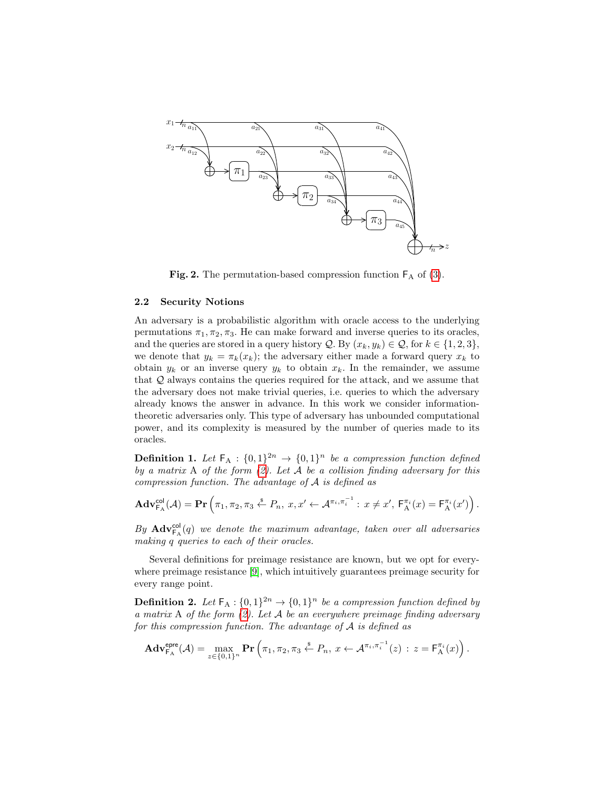

<span id="page-5-0"></span>Fig. 2. The permutation-based compression function  $F_A$  of [\(3\)](#page-4-1).

#### 2.2 Security Notions

An adversary is a probabilistic algorithm with oracle access to the underlying permutations  $\pi_1, \pi_2, \pi_3$ . He can make forward and inverse queries to its oracles, and the queries are stored in a query history  $\mathcal{Q}$ . By  $(x_k, y_k) \in \mathcal{Q}$ , for  $k \in \{1, 2, 3\}$ , we denote that  $y_k = \pi_k(x_k)$ ; the adversary either made a forward query  $x_k$  to obtain  $y_k$  or an inverse query  $y_k$  to obtain  $x_k$ . In the remainder, we assume that Q always contains the queries required for the attack, and we assume that the adversary does not make trivial queries, i.e. queries to which the adversary already knows the answer in advance. In this work we consider informationtheoretic adversaries only. This type of adversary has unbounded computational power, and its complexity is measured by the number of queries made to its oracles.

**Definition 1.** Let  $F_A$  :  $\{0,1\}^2$   $\rightarrow$   $\{0,1\}^n$  be a compression function defined by a matrix A of the form  $(2)$ . Let A be a collision finding adversary for this compression function. The advantage of A is defined as

$$
\mathbf{Adv}_{\mathsf{FA}}^{\mathsf{col}}(\mathcal{A}) = \mathbf{Pr}\left(\pi_1, \pi_2, \pi_3 \stackrel{\hspace{0.1em}\mathsf{\scriptscriptstyle\$}}{\leftarrow} P_n, \ x, x' \leftarrow \mathcal{A}^{\pi_i, \pi_i^{-1}} : \ x \neq x', \ \mathsf{F}_\mathsf{A}^{\pi_i}(x) = \mathsf{F}_\mathsf{A}^{\pi_i}(x')\right).
$$

By  $\mathbf{Adv}_{\mathsf{F}_{\mathbf{A}}}^{\mathsf{col}}(q)$  we denote the maximum advantage, taken over all adversaries making q queries to each of their oracles.

where preimage resistance [\[9\]](#page-16-11), which intuitively guarantees preimage security for Several definitions for preimage resistance are known, but we opt for everyevery range point.

**Definition 2.** Let  $\mathsf{F}_{\mathsf{A}}: \{0,1\}^{2n} \to \{0,1\}^n$  be a compression function defined by a matrix A of the form  $(2)$ . Let A be an everywhere preimage finding adversary for this compression function. The advantage of  $A$  is defined as

$$
\mathbf{Adv}_{\mathsf{F}_A}^{\mathsf{epre}}(\mathcal{A}) = \max_{z \in \{0,1\}^n} \mathbf{Pr}\left(\pi_1, \pi_2, \pi_3 \stackrel{\$}{\leftarrow} P_n, x \leftarrow \mathcal{A}^{\pi_i, \pi_i^{-1}}(z) : z = \mathsf{F}_A^{\pi_i}(x)\right).
$$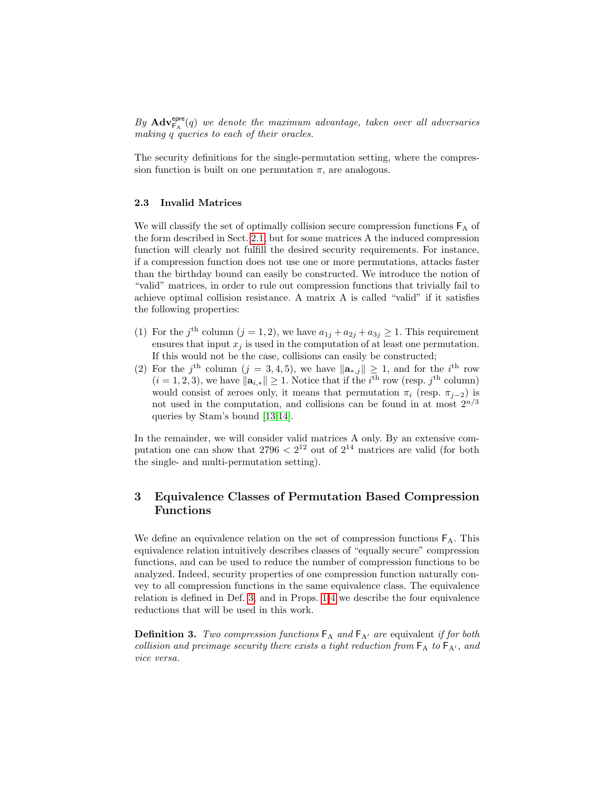By  $\mathbf{Adv}_{\mathsf{F}_{\mathbf{A}}}^{\mathsf{epre}}(q)$  we denote the maximum advantage, taken over all adversaries making q queries to each of their oracles.

The security definitions for the single-permutation setting, where the compression function is built on one permutation  $\pi$ , are analogous.

#### <span id="page-6-2"></span>2.3 Invalid Matrices

We will classify the set of optimally collision secure compression functions  $F_A$  of the form described in Sect. [2.1,](#page-4-3) but for some matrices A the induced compression function will clearly not fulfill the desired security requirements. For instance, if a compression function does not use one or more permutations, attacks faster than the birthday bound can easily be constructed. We introduce the notion of "valid" matrices, in order to rule out compression functions that trivially fail to achieve optimal collision resistance. A matrix A is called "valid" if it satisfies the following properties:

- (1) For the j<sup>th</sup> column  $(j = 1, 2)$ , we have  $a_{1j} + a_{2j} + a_{3j} \ge 1$ . This requirement ensures that input  $x_i$  is used in the computation of at least one permutation. If this would not be the case, collisions can easily be constructed;
- (2) For the j<sup>th</sup> column (j = 3, 4, 5), we have  $\|\mathbf{a}_{*,j}\| \geq 1$ , and for the i<sup>th</sup> row  $(i = 1, 2, 3)$ , we have  $\|\mathbf{a}_{i,*}\| \geq 1$ . Notice that if the i<sup>th</sup> row (resp. j<sup>th</sup> column) would consist of zeroes only, it means that permutation  $\pi_i$  (resp.  $\pi_{i-2}$ ) is not used in the computation, and collisions can be found in at most  $2^{n/3}$ queries by Stam's bound [\[13,](#page-16-4)[14\]](#page-16-5).

In the remainder, we will consider valid matrices A only. By an extensive computation one can show that  $2796 < 2^{12}$  out of  $2^{14}$  matrices are valid (for both the single- and multi-permutation setting).

# <span id="page-6-1"></span>3 Equivalence Classes of Permutation Based Compression Functions

We define an equivalence relation on the set of compression functions  $F_A$ . This equivalence relation intuitively describes classes of "equally secure" compression functions, and can be used to reduce the number of compression functions to be analyzed. Indeed, security properties of one compression function naturally convey to all compression functions in the same equivalence class. The equivalence relation is defined in Def. [3,](#page-6-0) and in Props. [1-](#page-6-3)[4](#page-7-0) we describe the four equivalence reductions that will be used in this work.

<span id="page-6-3"></span><span id="page-6-0"></span>**Definition 3.** Two compression functions  $F_A$  and  $F_{A'}$  are equivalent if for both collision and preimage security there exists a tight reduction from  $F_A$  to  $F_{A'}$ , and vice versa.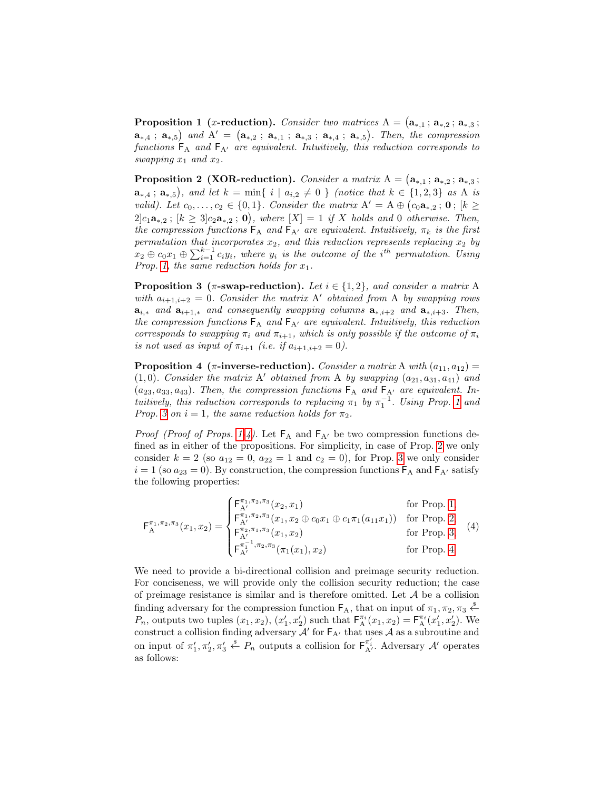**Proposition 1** (*x*-reduction). Consider two matrices  $A = (\mathbf{a}_{*,1} ; \mathbf{a}_{*,2} ; \mathbf{a}_{*,3})$ ;  $a_{*,4}$ ;  $a_{*,5}$ ) and  $A' = (a_{*,2}$ ;  $a_{*,1}$ ;  $a_{*,3}$ ;  $a_{*,4}$ ;  $a_{*,5}$ ). Then, the compression functions  $F_A$  and  $F_{A'}$  are equivalent. Intuitively, this reduction corresponds to swapping  $x_1$  and  $x_2$ .

<span id="page-7-2"></span>**Proposition 2** (XOR-reduction). Consider a matrix  $A = (\mathbf{a}_{*,1} : \mathbf{a}_{*,2} : \mathbf{a}_{*,3})$ ;  $a_{*,4}$ ;  $a_{*,5}$ ), and let  $k = \min\{ i \mid a_{i,2} \neq 0 \}$  (notice that  $k \in \{1,2,3\}$  as A is valid). Let  $c_0, \ldots, c_2 \in \{0, 1\}$ . Consider the matrix  $A' = A \oplus (c_0 a_{*,2} ; \mathbf{0}; [k \geq$  $2]c_1a_{*,2}$ ;  $[k \geq 3]c_2a_{*,2}$ ; 0), where  $[X] = 1$  if X holds and 0 otherwise. Then, the compression functions  $F_A$  and  $F_{A'}$  are equivalent. Intuitively,  $\pi_k$  is the first permutation that incorporates  $x_2$ , and this reduction represents replacing  $x_2$  by  $x_2 \oplus c_0x_1 \oplus \sum_{i=1}^{k-1} c_iy_i$ , where  $y_i$  is the outcome of the i<sup>th</sup> permutation. Using Prop. [1,](#page-6-3) the same reduction holds for  $x_1$ .

<span id="page-7-1"></span>**Proposition 3** ( $\pi$ -swap-reduction). Let  $i \in \{1, 2\}$ , and consider a matrix A with  $a_{i+1,i+2} = 0$ . Consider the matrix A' obtained from A by swapping rows  $a_{i,*}$  and  $a_{i+1,*}$  and consequently swapping columns  $a_{*,i+2}$  and  $a_{*,i+3}$ . Then, the compression functions  $F_A$  and  $F_{A'}$  are equivalent. Intuitively, this reduction corresponds to swapping  $\pi_i$  and  $\pi_{i+1}$ , which is only possible if the outcome of  $\pi_i$ is not used as input of  $\pi_{i+1}$  (i.e. if  $a_{i+1,i+2} = 0$ ).

<span id="page-7-0"></span>**Proposition 4** ( $\pi$ -inverse-reduction). Consider a matrix A with  $(a_{11}, a_{12}) =$  $(1, 0)$ . Consider the matrix A' obtained from A by swapping  $(a_{21}, a_{31}, a_{41})$  and  $(a_{23}, a_{33}, a_{43})$ . Then, the compression functions  $F_A$  and  $F_{A'}$  are equivalent. Intuitively, this reduction corresponds to replacing  $\pi_1$  by  $\pi_1^{-1}$ . Using Prop. [1](#page-6-3) and Prop. [3](#page-7-1) on  $i = 1$ , the same reduction holds for  $\pi_2$ .

*Proof (Proof of Props. [1](#page-6-3)[-4\)](#page-7-0).* Let  $F_A$  and  $F_{A'}$  be two compression functions defined as in either of the propositions. For simplicity, in case of Prop. [2](#page-7-2) we only consider  $k = 2$  (so  $a_{12} = 0$ ,  $a_{22} = 1$  and  $c_2 = 0$ ), for Prop. [3](#page-7-1) we only consider  $i = 1$  (so  $a_{23} = 0$ ). By construction, the compression functions  $F_A$  and  $F_{A'}$  satisfy the following properties:

<span id="page-7-3"></span>
$$
\mathsf{F}_{\mathsf{A}}^{\pi_1, \pi_2, \pi_3}(x_1, x_2) = \begin{cases} \mathsf{F}_{\mathsf{A}'}^{\pi_1, \pi_2, \pi_3}(x_2, x_1) & \text{for Prop. 1,} \\ \mathsf{F}_{\mathsf{A}'}^{\pi_1, \pi_2, \pi_3}(x_1, x_2 \oplus c_0 x_1 \oplus c_1 \pi_1(a_{11} x_1)) & \text{for Prop. 2,} \\ \mathsf{F}_{\mathsf{A}'}^{\pi_2, \pi_1, \pi_3}(x_1, x_2) & \text{for Prop. 3,} \\ \mathsf{F}_{\mathsf{A}'}^{\pi_1, \pi_2, \pi_3}(\pi_1(x_1), x_2) & \text{for Prop. 4.} \end{cases} \tag{4}
$$

We need to provide a bi-directional collision and preimage security reduction. For conciseness, we will provide only the collision security reduction; the case of preimage resistance is similar and is therefore omitted. Let  $A$  be a collision finding adversary for the compression function  $\mathsf{F}_A$ , that on input of  $\pi_1, \pi_2, \pi_3 \stackrel{\$}{\leftarrow}$  $P_n$ , outputs two tuples  $(x_1, x_2), (x'_1, x'_2)$  such that  $F_A^{\pi_i}(x_1, x_2) = F_A^{\pi_i}(x'_1, x'_2)$ . We construct a collision finding adversary  $\mathcal{A}'$  for  $F_{A'}$  that uses  $\mathcal{A}$  as a subroutine and on input of  $\pi'_1, \pi'_2, \pi'_3 \stackrel{\hspace{0.1em}\mathsf{\scriptscriptstyle\$}}{\leftarrow} P_n$  outputs a collision for  $\mathsf{F}_{\mathsf{A}'}^{\pi'_i}$ . Adversary A' operates as follows: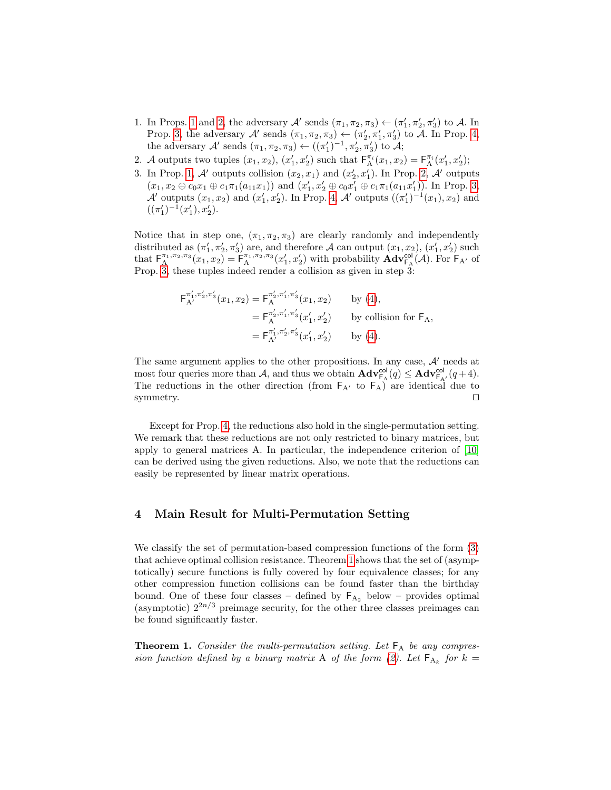- 1. In Props. [1](#page-6-3) and [2,](#page-7-2) the adversary  $\mathcal{A}'$  sends  $(\pi_1, \pi_2, \pi_3) \leftarrow (\pi'_1, \pi'_2, \pi'_3)$  to  $\mathcal{A}$ . In Prop. [3,](#page-7-1) the adversary  $\mathcal{A}'$  sends  $(\pi_1, \pi_2, \pi_3) \leftarrow (\pi'_2, \pi'_1, \pi'_3)$  to  $\mathcal{A}$ . In Prop. [4,](#page-7-0) the adversary  $\mathcal{A}'$  sends  $(\pi_1, \pi_2, \pi_3) \leftarrow ((\pi'_1)^{-1}, \pi'_2, \pi'_3)$  to  $\mathcal{A};$
- 2. A outputs two tuples  $(x_1, x_2), (x'_1, x'_2)$  such that  $\mathsf{F}_{\mathsf{A}}^{\pi_i}(x_1, x_2) = \mathsf{F}_{\mathsf{A}}^{\pi_i}(x'_1, x'_2)$ ;
- 3. In Prop. [1,](#page-6-3) A' outputs collision  $(x_2, x_1)$  and  $(x'_2, x'_1)$ . In Prop. [2,](#page-7-2) A' outputs  $(x_1, x_2 \oplus c_0 x_1 \oplus c_1 \pi_1(a_{11} x_1))$  and  $(x'_1, x'_2 \oplus c_0 x'_1 \oplus c_1 \pi_1(a_{11} x'_1))$ . In Prop. [3,](#page-7-1)  $\mathcal{A}'$  outputs  $(x_1, x_2)$  and  $(x'_1, x'_2)$ . In Prop. [4,](#page-7-0)  $\mathcal{A}'$  outputs  $((\pi'_1)^{-1}(x_1), x_2)$  and  $((\pi'_1)^{-1}(x'_1), x'_2).$

Notice that in step one,  $(\pi_1, \pi_2, \pi_3)$  are clearly randomly and independently distributed as  $(\pi'_1, \pi'_2, \pi'_3)$  are, and therefore A can output  $(x_1, x_2)$ ,  $(x'_1, x'_2)$  such that  $\mathsf{F}_{\mathsf{A}}^{\pi_1,\pi_2,\pi_3}(x_1,x_2) = \mathsf{F}_{\mathsf{A}}^{\pi_1,\pi_2,\pi_3}(x_1',x_2')$  with probability  $\mathbf{Adv}_{\mathsf{F}_{\mathsf{A}}}^{\mathsf{col}}(\mathcal{A})$ . For  $\mathsf{F}_{\mathsf{A}'}$  of Prop. [3,](#page-7-1) these tuples indeed render a collision as given in step 3:

$$
\begin{split} \mathsf{F}_{\mathrm{A}^{\prime}}^{\pi'_1,\pi'_2,\pi'_3}(x_1,x_2) &= \mathsf{F}_{\mathrm{A}}^{\pi'_2,\pi'_1,\pi'_3}(x_1,x_2) \qquad \text{by (4)},\\ &= \mathsf{F}_{\mathrm{A}}^{\pi'_2,\pi'_1,\pi'_3}(x'_1,x'_2) \qquad \text{by collision for } \mathsf{F}_{\mathrm{A}},\\ &= \mathsf{F}_{\mathrm{A}^{\prime}}^{\pi'_1,\pi'_2,\pi'_3}(x'_1,x'_2) \qquad \text{by (4)}. \end{split}
$$

The same argument applies to the other propositions. In any case,  $A'$  needs at most four queries more than A, and thus we obtain  $\mathbf{Adv}_{\mathsf{F}_{\mathsf{A}}}^{\mathsf{col}}(q) \leq \mathbf{Adv}_{\mathsf{F}_{\mathsf{A}'}}^{\mathsf{col}}(q+4)$ . The reductions in the other direction (from  $F_{A'}$  to  $F_A$ ) are identical due to symmetry.  $\Box$ 

Except for Prop. [4,](#page-7-0) the reductions also hold in the single-permutation setting. We remark that these reductions are not only restricted to binary matrices, but apply to general matrices A. In particular, the independence criterion of [\[10\]](#page-16-6) can be derived using the given reductions. Also, we note that the reductions can easily be represented by linear matrix operations.

#### <span id="page-8-0"></span>4 Main Result for Multi-Permutation Setting

We classify the set of permutation-based compression functions of the form [\(3\)](#page-4-1) that achieve optimal collision resistance. Theorem [1](#page-8-1) shows that the set of (asymptotically) secure functions is fully covered by four equivalence classes; for any other compression function collisions can be found faster than the birthday bound. One of these four classes – defined by  $F_{A_2}$  below – provides optimal (asymptotic)  $2^{2n/3}$  preimage security, for the other three classes preimages can be found significantly faster.

<span id="page-8-1"></span>**Theorem 1.** Consider the multi-permutation setting. Let  $F_A$  be any compres-sion function defined by a binary matrix A of the form [\(2\)](#page-4-2). Let  $F_{A_k}$  for  $k =$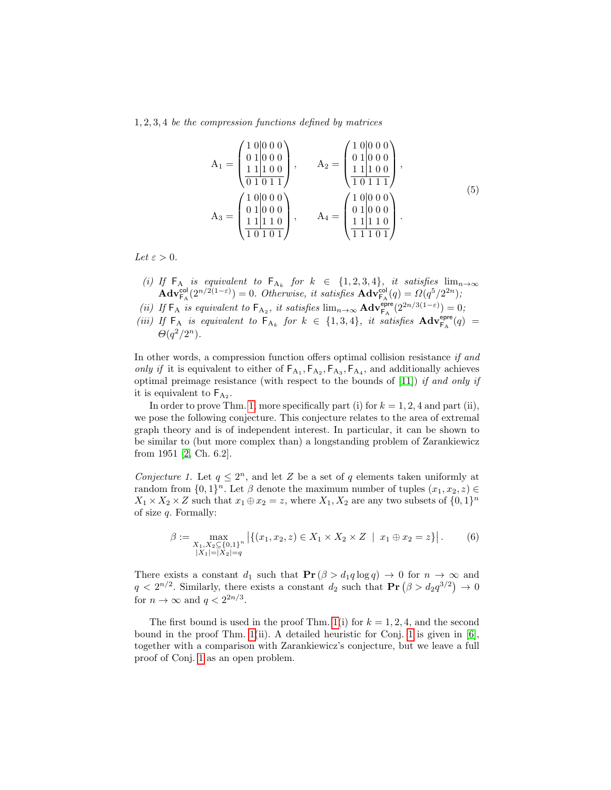1, 2, 3, 4 be the compression functions defined by matrices

<span id="page-9-1"></span>
$$
A_1 = \begin{pmatrix} 1 & 0 & 0 & 0 & 0 \\ 0 & 1 & 0 & 0 & 0 & 0 \\ 1 & 1 & 1 & 0 & 0 & 0 \\ \hline 1 & 1 & 1 & 0 & 0 & 0 \\ 0 & 1 & 0 & 1 & 1 \end{pmatrix}, \qquad A_2 = \begin{pmatrix} 1 & 0 & 0 & 0 & 0 \\ 0 & 1 & 0 & 0 & 0 \\ 1 & 1 & 1 & 0 & 0 \\ \hline 1 & 0 & 1 & 1 & 1 \end{pmatrix},
$$
  

$$
A_3 = \begin{pmatrix} 1 & 0 & 0 & 0 & 0 \\ 0 & 1 & 0 & 0 & 0 \\ \hline 1 & 0 & 1 & 0 & 1 \end{pmatrix}, \qquad A_4 = \begin{pmatrix} 1 & 0 & 0 & 0 & 0 \\ 0 & 1 & 0 & 0 & 0 \\ \hline 1 & 1 & 1 & 0 & 1 \\ \hline 1 & 1 & 1 & 0 & 1 \end{pmatrix}.
$$
  
(5)

Let  $\varepsilon > 0$ .

- (i) If  $\mathsf{F}_{A}$  is equivalent to  $\mathsf{F}_{A_k}$  for  $k \in \{1, 2, 3, 4\}$ , it satisfies  $\lim_{n\to\infty}$  $\mathbf{Adv}_{\mathsf{FA}}^{\mathsf{col}}(2^{n/2(1-\varepsilon)})=0.$  Otherwise, it satisfies  $\mathbf{Adv}_{\mathsf{FA}}^{\mathsf{col}}(q)=\Omega(q^5/2^{2n});$
- (ii) If  $\mathsf{F}_A$  is equivalent to  $\mathsf{F}_{A_2}$ , it satisfies  $\lim_{n\to\infty} \mathbf{Adv}_{\mathsf{F}_A}^{\mathsf{epre}}(2^{2n/3(1-\varepsilon)})=0;$ (iii) If  $F_A$  is equivalent to  $F_{A_k}$  for  $k \in \{1,3,4\}$ , it satisfies  $\mathbf{Adv}_{F_A}^{\text{epre}}(q) =$

$$
\Theta(q^2/2^n).
$$

In other words, a compression function offers optimal collision resistance if and only if it is equivalent to either of  $\mathsf{F}_{A_1}, \mathsf{F}_{A_2}, \mathsf{F}_{A_3}, \mathsf{F}_{A_4}$ , and additionally achieves optimal preimage resistance (with respect to the bounds of  $[11]$ ) if and only if it is equivalent to  $F_{A_2}$ .

In order to prove Thm. [1,](#page-8-1) more specifically part (i) for  $k = 1, 2, 4$  and part (ii), we pose the following conjecture. This conjecture relates to the area of extremal graph theory and is of independent interest. In particular, it can be shown to be similar to (but more complex than) a longstanding problem of Zarankiewicz from 1951 [\[2,](#page-15-2) Ch. 6.2].

<span id="page-9-0"></span>Conjecture 1. Let  $q \leq 2^n$ , and let Z be a set of q elements taken uniformly at random from  $\{0,1\}^n$ . Let  $\beta$  denote the maximum number of tuples  $(x_1, x_2, z) \in$  $X_1 \times X_2 \times Z$  such that  $x_1 \oplus x_2 = z$ , where  $X_1, X_2$  are any two subsets of  $\{0, 1\}^n$ of size  $q$ . Formally:

$$
\beta := \max_{\substack{X_1, X_2 \subseteq \{0, 1\}^n \\ |X_1| = |X_2| = q}} \left| \{ (x_1, x_2, z) \in X_1 \times X_2 \times Z \mid x_1 \oplus x_2 = z \} \right|.
$$
 (6)

There exists a constant  $d_1$  such that  $\Pr(\beta > d_1 q \log q) \to 0$  for  $n \to \infty$  and  $q < 2^{n/2}$ . Similarly, there exists a constant  $d_2$  such that  $\mathbf{Pr}(\beta > d_2 q^{3/2}) \to 0$ for  $n \to \infty$  and  $q < 2^{2n/3}$ .

The first bound is used in the proof Thm. [1\(](#page-8-1)i) for  $k = 1, 2, 4$ , and the second bound in the proof Thm.  $1(ii)$ . A detailed heuristic for Conj. [1](#page-9-0) is given in [\[6\]](#page-16-9), together with a comparison with Zarankiewicz's conjecture, but we leave a full proof of Conj. [1](#page-9-0) as an open problem.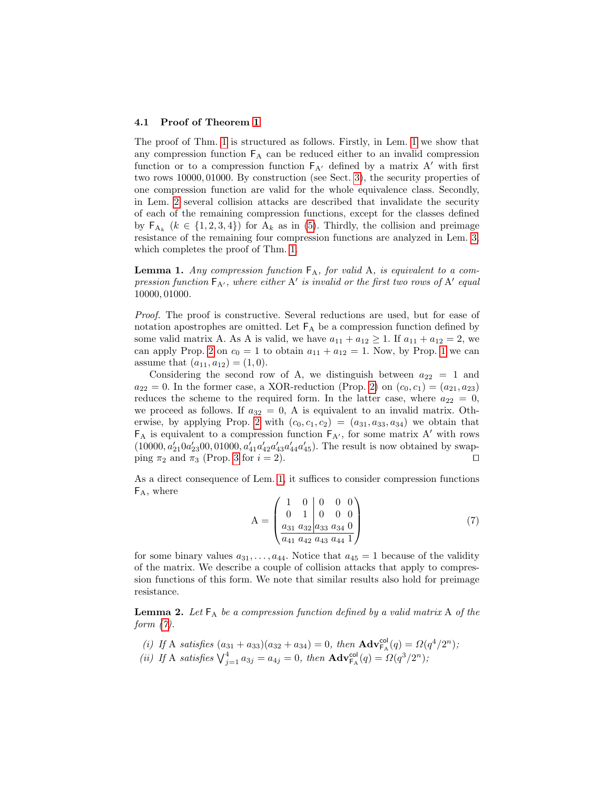#### <span id="page-10-3"></span>4.1 Proof of Theorem [1](#page-8-1)

The proof of Thm. [1](#page-8-1) is structured as follows. Firstly, in Lem. [1](#page-10-0) we show that any compression function  $F_A$  can be reduced either to an invalid compression function or to a compression function  $F_{A}$  defined by a matrix A' with first two rows 10000, 01000. By construction (see Sect. [3\)](#page-6-1), the security properties of one compression function are valid for the whole equivalence class. Secondly, in Lem. [2](#page-10-1) several collision attacks are described that invalidate the security of each of the remaining compression functions, except for the classes defined by  $\mathsf{F}_{A_k}$  ( $k \in \{1, 2, 3, 4\}$ ) for  $A_k$  as in [\(5\)](#page-9-1). Thirdly, the collision and preimage resistance of the remaining four compression functions are analyzed in Lem. [3,](#page-13-1) which completes the proof of Thm. [1.](#page-8-1)

<span id="page-10-0"></span>**Lemma 1.** Any compression function  $F_A$ , for valid A, is equivalent to a compression function  $F_{A'}$ , where either A' is invalid or the first two rows of A' equal 10000, 01000.

Proof. The proof is constructive. Several reductions are used, but for ease of notation apostrophes are omitted. Let  $F_A$  be a compression function defined by some valid matrix A. As A is valid, we have  $a_{11} + a_{12} \geq 1$ . If  $a_{11} + a_{12} = 2$ , we can apply Prop. [2](#page-7-2) on  $c_0 = 1$  $c_0 = 1$  to obtain  $a_{11} + a_{12} = 1$ . Now, by Prop. 1 we can assume that  $(a_{11}, a_{12}) = (1, 0)$ .

Considering the second row of A, we distinguish between  $a_{22} = 1$  and  $a_{22} = 0$ . In the former case, a XOR-reduction (Prop. [2\)](#page-7-2) on  $(c_0, c_1) = (a_{21}, a_{23})$ reduces the scheme to the required form. In the latter case, where  $a_{22} = 0$ , we proceed as follows. If  $a_{32} = 0$ , A is equivalent to an invalid matrix. Oth-erwise, by applying Prop. [2](#page-7-2) with  $(c_0, c_1, c_2) = (a_{31}, a_{33}, a_{34})$  we obtain that  $F_A$  is equivalent to a compression function  $F_{A'}$ , for some matrix A' with rows  $(10000, a'_{21}0a'_{23}00, 01000, a'_{41}a'_{42}a'_{43}a'_{44}a'_{45})$ . The result is now obtained by swapping  $\pi_2$  and  $\pi_3$  (Prop. [3](#page-7-1) for  $i = 2$ ).

As a direct consequence of Lem. [1,](#page-10-0) it suffices to consider compression functions  $F_A$ , where

<span id="page-10-2"></span>
$$
A = \begin{pmatrix} 1 & 0 & 0 & 0 & 0 \\ 0 & 1 & 0 & 0 & 0 \\ \frac{a_{31} a_{32} & a_{33} a_{34} & 0}{a_{41} a_{42} a_{43} a_{44} & 1} \end{pmatrix}
$$
(7)

for some binary values  $a_{31}, \ldots, a_{44}$ . Notice that  $a_{45} = 1$  because of the validity of the matrix. We describe a couple of collision attacks that apply to compression functions of this form. We note that similar results also hold for preimage resistance.

<span id="page-10-1"></span>**Lemma 2.** Let  $F_A$  be a compression function defined by a valid matrix A of the form  $(7)$ .

- (i) If A satisfies  $(a_{31} + a_{33})(a_{32} + a_{34}) = 0$ , then  $\text{Adv}_{F_A}^{\text{col}}(q) = \Omega(q^4/2^n)$ ;
- (ii) If A satisfies  $\bigvee_{j=1}^{4} a_{3j} = a_{4j} = 0$ , then  $\mathbf{Adv}_{\mathsf{FA}}^{\mathsf{col}}(q) = \Omega(q^3/2^n)$ ;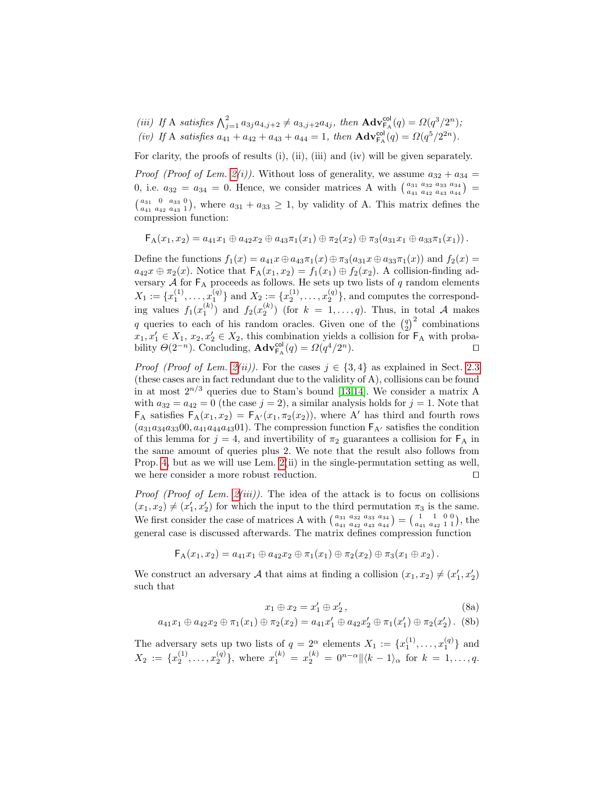(iii) If A satisfies  $\bigwedge_{j=1}^2 a_{3j}a_{4,j+2} \neq a_{3,j+2}a_{4j}$ , then  $\text{Adv}_{\mathsf{F}_{\mathsf{A}}}^{\text{col}}(q) = \Omega(q^3/2^n);$ (iv) If A satisfies  $a_{41} + a_{42} + a_{43} + a_{44} = 1$ , then  $\text{Adv}_{\text{F}_{\text{A}}}^{\text{col}}(q) = \Omega(q^5/2^{2n}).$ 

For clarity, the proofs of results (i), (ii), (iii) and (iv) will be given separately.

*Proof (Proof of Lem. [2\(](#page-10-1)i))*. Without loss of generality, we assume  $a_{32} + a_{34} =$ 0, i.e.  $a_{32} = a_{34} = 0$ . Hence, we consider matrices A with  $\begin{pmatrix} a_{31} & a_{32} & a_{33} & a_{34} \\ a_{41} & a_{42} & a_{43} & a_{44} \end{pmatrix}$  $\binom{a_{31} \ 0 \ a_{33} \ 0}{a_{41} \ a_{42} \ a_{43} \ 1}$ , where  $a_{31} + a_{33} \ge 1$ , by validity of A. This matrix defines the compression function:

$$
\mathsf{F}_A(x_1,x_2) = a_{41}x_1 \oplus a_{42}x_2 \oplus a_{43}\pi_1(x_1) \oplus \pi_2(x_2) \oplus \pi_3(a_{31}x_1 \oplus a_{33}\pi_1(x_1)).
$$

Define the functions  $f_1(x) = a_{41}x \oplus a_{43}\pi_1(x) \oplus \pi_3(a_{31}x \oplus a_{33}\pi_1(x))$  and  $f_2(x) =$  $a_{42}x \oplus \pi_2(x)$ . Notice that  $\mathsf{F}_{\mathsf{A}}(x_1, x_2) = f_1(x_1) \oplus f_2(x_2)$ . A collision-finding adversary  $A$  for  $F_A$  proceeds as follows. He sets up two lists of q random elements  $X_1 := \{x_1^{(1)}, \ldots, x_1^{(q)}\}$  and  $X_2 := \{x_2^{(1)}, \ldots, x_2^{(q)}\}$ , and computes the corresponding values  $f_1(x_1^{(k)})$  and  $f_2(x_2^{(k)})$  (for  $k = 1, ..., q$ ). Thus, in total A makes q queries to each of his random oracles. Given one of the  $\binom{q}{2}^2$  combinations  $x_1, x_1' \in X_1, x_2, x_2' \in X_2$ , this combination yields a collision for  $\mathsf{F}_A$  with probability  $\Theta(2^{-n})$ . Concluding,  $\mathbf{Adv}_{\mathsf{F}_{\mathsf{A}}}^{\mathsf{col}}(q) = \Omega(q^4/2^n)$ .

*Proof (Proof of Lem. [2\(](#page-10-1)ii)).* For the cases  $j \in \{3, 4\}$  as explained in Sect. [2.3](#page-6-2) (these cases are in fact redundant due to the validity of A), collisions can be found in at most  $2^{n/3}$  queries due to Stam's bound [\[13](#page-16-4)[,14\]](#page-16-5). We consider a matrix A with  $a_{32} = a_{42} = 0$  (the case  $j = 2$ ), a similar analysis holds for  $j = 1$ . Note that  $F_A$  satisfies  $F_A(x_1, x_2) = F_{A'}(x_1, \pi_2(x_2))$ , where A' has third and fourth rows  $(a_{31}a_{34}a_{33}00, a_{41}a_{44}a_{43}01)$ . The compression function  $F_{A'}$  satisfies the condition of this lemma for  $j = 4$ , and invertibility of  $\pi_2$  guarantees a collision for  $F_A$  in the same amount of queries plus 2. We note that the result also follows from Prop. [4,](#page-7-0) but as we will use Lem. [2\(](#page-10-1)ii) in the single-permutation setting as well, we here consider a more robust reduction.  $\Box$ 

*Proof (Proof of Lem. [2\(](#page-10-1)iii))*. The idea of the attack is to focus on collisions  $(x_1, x_2) \neq (x_1', x_2')$  for which the input to the third permutation  $\pi_3$  is the same. We first consider the case of matrices A with  $\begin{pmatrix} a_{31} & a_{32} & a_{33} & a_{34} \\ a_{41} & a_{42} & a_{43} & a_{44} \end{pmatrix} = \begin{pmatrix} 1 & 1 & 0 & 0 \\ a_{41} & a_{42} & 1 & 1 \end{pmatrix}$ , the general case is discussed afterwards. The matrix defines compression function

$$
\mathsf{F}_A(x_1,x_2) = a_{41}x_1 \oplus a_{42}x_2 \oplus \pi_1(x_1) \oplus \pi_2(x_2) \oplus \pi_3(x_1 \oplus x_2).
$$

We construct an adversary A that aims at finding a collision  $(x_1, x_2) \neq (x'_1, x'_2)$ such that

$$
x_1 \oplus x_2 = x_1' \oplus x_2', \tag{8a}
$$

<span id="page-11-0"></span>
$$
a_{41}x_1 \oplus a_{42}x_2 \oplus \pi_1(x_1) \oplus \pi_2(x_2) = a_{41}x_1' \oplus a_{42}x_2' \oplus \pi_1(x_1') \oplus \pi_2(x_2').
$$
 (8b)

The adversary sets up two lists of  $q = 2^{\alpha}$  elements  $X_1 := \{x_1^{(1)}, \ldots, x_1^{(q)}\}$  and  $X_2 := \{x_2^{(1)}, \ldots, x_2^{(q)}\},\$  where  $x_1^{(k)} = x_2^{(k)} = 0^{n-\alpha} \|\langle k-1\rangle_\alpha\$  for  $k = 1, \ldots, q$ .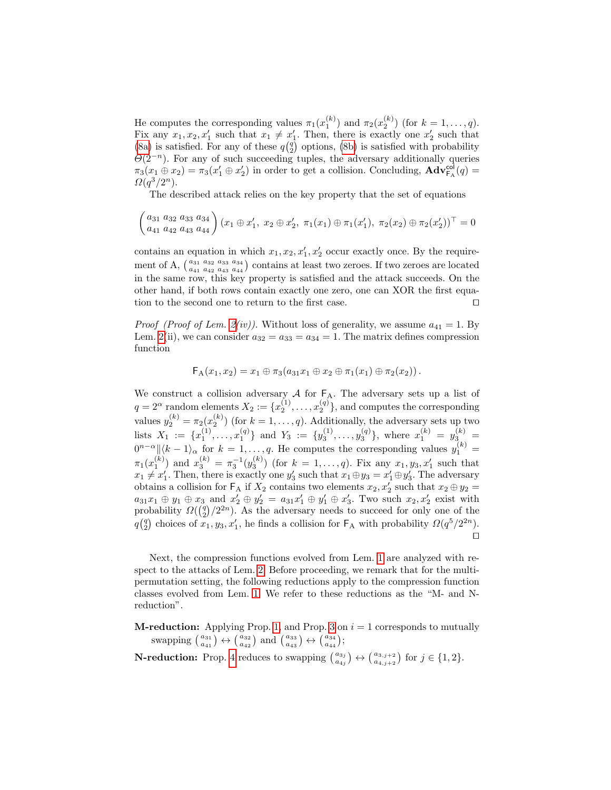He computes the corresponding values  $\pi_1(x_1^{(k)})$  and  $\pi_2(x_2^{(k)})$  (for  $k = 1, \ldots, q$ ). Fix any  $x_1, x_2, x'_1$  such that  $x_1 \neq x'_1$ . Then, there is exactly one  $x'_2$  such that [\(8a\)](#page-11-0) is satisfied. For any of these  $q\binom{q}{2}$  options, [\(8b\)](#page-11-0) is satisfied with probability  $\Theta(2^{-n})$ . For any of such succeeding tuples, the adversary additionally queries  $\pi_3(x_1 \oplus x_2) = \pi_3(x_1' \oplus x_2')$  in order to get a collision. Concluding,  $\mathbf{Adv}_{\mathsf{FA}}^{\mathsf{col}}(q) =$  $\Omega(q^3/2^n)$ .

The described attack relies on the key property that the set of equations

$$
\begin{pmatrix} a_{31} & a_{32} & a_{33} & a_{34} \ a_{41} & a_{42} & a_{43} & a_{44} \end{pmatrix} (x_1 \oplus x'_1, x_2 \oplus x'_2, \ \pi_1(x_1) \oplus \pi_1(x'_1), \ \pi_2(x_2) \oplus \pi_2(x'_2))^\top = 0
$$

contains an equation in which  $x_1, x_2, x'_1, x'_2$  occur exactly once. By the requirement of A,  $\left(\frac{a_{31}}{a_{41}}\frac{a_{32}}{a_{42}}\frac{a_{33}}{a_{44}}\right)$  contains at least two zeroes. If two zeroes are located in the same row, this key property is satisfied and the attack succeeds. On the other hand, if both rows contain exactly one zero, one can XOR the first equation to the second one to return to the first case.  $\Box$ 

*Proof (Proof of Lem. [2\(](#page-10-1)iv))*. Without loss of generality, we assume  $a_{41} = 1$ . By Lem. [2\(](#page-10-1)ii), we can consider  $a_{32} = a_{33} = a_{34} = 1$ . The matrix defines compression function

$$
\mathsf{F}_{A}(x_1,x_2) = x_1 \oplus \pi_3(a_{31}x_1 \oplus x_2 \oplus \pi_1(x_1) \oplus \pi_2(x_2)).
$$

We construct a collision adversary  $A$  for  $F_A$ . The adversary sets up a list of  $q = 2^{\alpha}$  random elements  $X_2 := \{x_2^{(1)}, \ldots, x_2^{(q)}\}$ , and computes the corresponding values  $y_2^{(k)} = \pi_2(x_2^{(k)})$  (for  $k = 1, \ldots, q$ ). Additionally, the adversary sets up two lists  $X_1 := \{x_1^{(1)}, \ldots, x_1^{(q)}\}$  and  $Y_3 := \{y_3^{(1)}, \ldots, y_3^{(q)}\}$ , where  $x_1^{(k)} = y_3^{(k)}$  $0^{n-\alpha}$ || $\langle k-1 \rangle_{\alpha}$  for  $k=1,\ldots,q$ . He computes the corresponding values  $y_1^{(k)}$  =  $\pi_1(x_1^{(k)})$  and  $x_3^{(k)} = \pi_3^{-1}(y_3^{(k)})$  (for  $k = 1, ..., q$ ). Fix any  $x_1, y_3, x_1'$  such that  $x_1 \neq x_1'$ . Then, there is exactly one  $y_3'$  such that  $x_1 \oplus y_3 = x_1' \oplus y_3'$ . The adversary obtains a collision for  $\mathsf{F}_A$  if  $X_2$  contains two elements  $x_2, x_2'$  such that  $x_2 \oplus y_2 =$  $a_{31}x_1 \oplus y_1 \oplus x_3$  and  $x'_2 \oplus y'_2 = a_{31}x'_1 \oplus y'_1 \oplus x'_3$ . Two such  $x_2, x'_2$  exist with probability  $\Omega(\binom{q}{2}/2^{2n})$ . As the adversary needs to succeed for only one of the  $q\binom{q}{2}$  choices of  $x_1, y_3, x'_1$ , he finds a collision for  $\mathsf{F}_A$  with probability  $\Omega(q^5/2^{2n})$ .  $\Box$ 

Next, the compression functions evolved from Lem. [1](#page-10-0) are analyzed with respect to the attacks of Lem. [2.](#page-10-1) Before proceeding, we remark that for the multipermutation setting, the following reductions apply to the compression function classes evolved from Lem. [1.](#page-10-0) We refer to these reductions as the "M- and Nreduction".

**M-reduction:** Applying Prop. [1,](#page-6-3) and Prop. [3](#page-7-1) on  $i = 1$  corresponds to mutually swapping  $\binom{a_{31}}{a_{41}} \leftrightarrow \binom{a_{32}}{a_{42}}$  and  $\binom{a_{33}}{a_{43}} \leftrightarrow \binom{a_{34}}{a_{44}}$ ;

**N-reduction:** Prop. [4](#page-7-0) reduces to swapping  $\begin{pmatrix} a_{3j} \\ a_{4j} \end{pmatrix} \leftrightarrow \begin{pmatrix} a_{3,j+2} \\ a_{4,j+2} \end{pmatrix}$  for  $j \in \{1,2\}$ .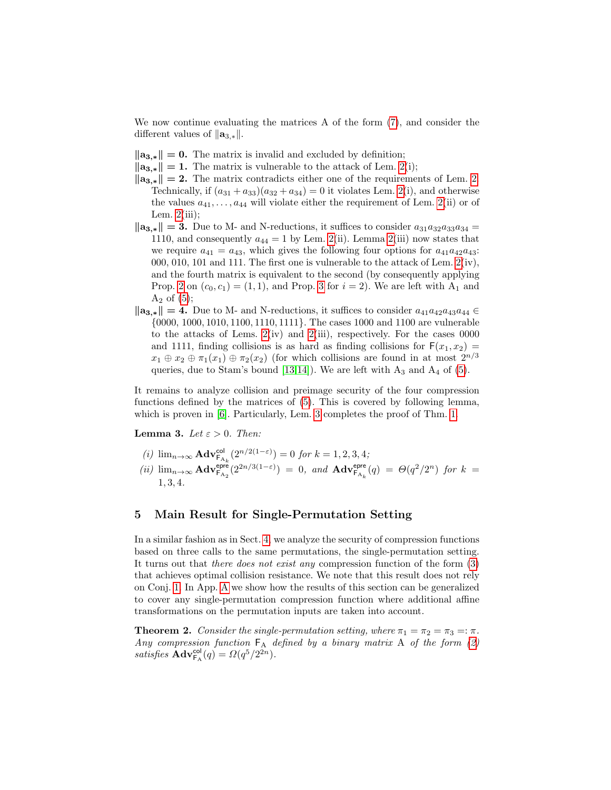We now continue evaluating the matrices A of the form [\(7\)](#page-10-2), and consider the different values of  $\|\mathbf{a}_{3,*}\|$ .

- $\|\mathbf{a}_{3,*}\| = 0$ . The matrix is invalid and excluded by definition;
- $\|\mathbf{a}_{3,*}\| = 1$ . The matrix is vulnerable to the attack of Lem. [2\(](#page-10-1)i);
- $\|\mathbf{a}_{3,*}\| = 2$ . The matrix contradicts either one of the requirements of Lem. [2.](#page-10-1) Technically, if  $(a_{31} + a_{33})(a_{32} + a_{34}) = 0$  it violates Lem. [2\(](#page-10-1)i), and otherwise the values  $a_{41}, \ldots, a_{44}$  will violate either the requirement of Lem. [2\(](#page-10-1)ii) or of Lem.  $2(iii)$ ;
- $\|\mathbf{a}_{3,*}\| = 3.$  Due to M- and N-reductions, it suffices to consider  $a_{31}a_{32}a_{33}a_{34} =$ 1110, and consequently  $a_{44} = 1$  by Lem. [2\(](#page-10-1)ii). Lemma 2(iii) now states that we require  $a_{41} = a_{43}$ , which gives the following four options for  $a_{41}a_{42}a_{43}$ : 000, 010, 101 and 111. The first one is vulnerable to the attack of Lem. [2\(](#page-10-1)iv), and the fourth matrix is equivalent to the second (by consequently applying Prop. [2](#page-7-2) on  $(c_0, c_1) = (1, 1)$ , and Prop. [3](#page-7-1) for  $i = 2$ ). We are left with  $A_1$  and  $A_2$  of  $(5)$ ;
- $\|\mathbf{a}_{3,*}\| = 4.$  Due to M- and N-reductions, it suffices to consider  $a_{41}a_{42}a_{43}a_{44} \in$ {0000, 1000, 1010, 1100, 1110, 1111}. The cases 1000 and 1100 are vulnerable to the attacks of Lems.  $2(iv)$  and  $2(iii)$ , respectively. For the cases 0000 and 1111, finding collisions is as hard as finding collisions for  $F(x_1, x_2) =$  $x_1 \oplus x_2 \oplus \pi_1(x_1) \oplus \pi_2(x_2)$  (for which collisions are found in at most  $2^{n/3}$ queries, due to Stam's bound [\[13,](#page-16-4)[14\]](#page-16-5)). We are left with  $A_3$  and  $A_4$  of [\(5\)](#page-9-1).

It remains to analyze collision and preimage security of the four compression functions defined by the matrices of [\(5\)](#page-9-1). This is covered by following lemma, which is proven in [\[6\]](#page-16-9). Particularly, Lem. [3](#page-13-1) completes the proof of Thm. [1.](#page-8-1)

**Lemma 3.** Let  $\varepsilon > 0$ . Then:

<span id="page-13-1"></span>(i) 
$$
\lim_{n\to\infty} \mathbf{Adv}_{\mathsf{F}_{\mathsf{A}_k}}^{\mathsf{col}}(2^{n/2(1-\varepsilon)}) = 0
$$
 for  $k = 1, 2, 3, 4$ ; \n(ii)  $\lim_{n\to\infty} \mathbf{Adv}_{\mathsf{F}_{\mathsf{A}_2}}^{\mathsf{pre}}(2^{2n/3(1-\varepsilon)}) = 0$ , and  $\mathbf{Adv}_{\mathsf{F}_{\mathsf{A}_k}}^{\mathsf{epre}}(q) = \Theta(q^2/2^n)$  for  $k = 1, 3, 4$ .

### <span id="page-13-0"></span>5 Main Result for Single-Permutation Setting

In a similar fashion as in Sect. [4,](#page-8-0) we analyze the security of compression functions based on three calls to the same permutations, the single-permutation setting. It turns out that there does not exist any compression function of the form [\(3\)](#page-4-1) that achieves optimal collision resistance. We note that this result does not rely on Conj. [1.](#page-9-0) In App. [A](#page-16-10) we show how the results of this section can be generalized to cover any single-permutation compression function where additional affine transformations on the permutation inputs are taken into account.

<span id="page-13-2"></span>**Theorem 2.** Consider the single-permutation setting, where  $\pi_1 = \pi_2 = \pi_3 = \pi$ . Any compression function  $F_A$  defined by a binary matrix A of the form [\(2\)](#page-4-2) satisfies  $\mathbf{Adv}_{\mathsf{FA}}^{\mathsf{col}}(q) = \Omega(q^5/2^{2n}).$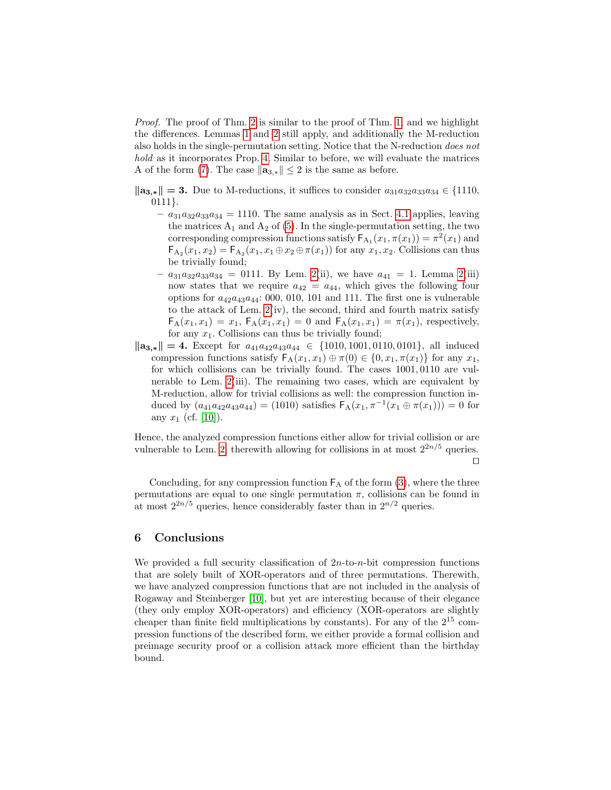Proof. The proof of Thm. [2](#page-13-2) is similar to the proof of Thm. [1,](#page-8-1) and we highlight the differences. Lemmas [1](#page-10-0) and [2](#page-10-1) still apply, and additionally the M-reduction also holds in the single-permutation setting. Notice that the N-reduction does not hold as it incorporates Prop. [4.](#page-7-0) Similar to before, we will evaluate the matrices A of the form [\(7\)](#page-10-2). The case  $\|\mathbf{a}_{3,*}\| \leq 2$  is the same as before.

 $\|\mathbf{a}_{3,*}\| = 3.$  Due to M-reductions, it suffices to consider  $a_{31}a_{32}a_{33}a_{34} \in \{1110,$ 0111}.

- $a_{31}a_{32}a_{33}a_{34} = 1110$ . The same analysis as in Sect. [4.1](#page-10-3) applies, leaving the matrices  $A_1$  and  $A_2$  of [\(5\)](#page-9-1). In the single-permutation setting, the two corresponding compression functions satisfy  $F_{A_1}(x_1, \pi(x_1)) = \pi^2(x_1)$  and  $\mathsf{F}_{\mathsf{A}_2}(x_1, x_2) = \mathsf{F}_{\mathsf{A}_2}(x_1, x_1 \oplus x_2 \oplus \pi(x_1))$  for any  $x_1, x_2$ . Collisions can thus be trivially found;
- $a_{31}a_{32}a_{33}a_{34} = 0111$ . By Lem. [2\(](#page-10-1)ii), we have  $a_{41} = 1$ . Lemma 2(iii) now states that we require  $a_{42} = a_{44}$ , which gives the following four options for  $a_{42}a_{43}a_{44}$ : 000, 010, 101 and 111. The first one is vulnerable to the attack of Lem. [2\(](#page-10-1)iv), the second, third and fourth matrix satisfy  $F_A(x_1, x_1) = x_1, F_A(x_1, x_1) = 0$  and  $F_A(x_1, x_1) = \pi(x_1)$ , respectively, for any  $x_1$ . Collisions can thus be trivially found;
- $\|\mathbf{a}_{3,*}\| = 4.$  Except for  $a_{41}a_{42}a_{43}a_{44} \in \{1010, 1001, 0110, 0101\}$ , all induced compression functions satisfy  $\mathsf{F}_{\mathsf{A}}(x_1, x_1) \oplus \pi(0) \in \{0, x_1, \pi(x_1)\}\)$  for any  $x_1$ , for which collisions can be trivially found. The cases 1001, 0110 are vulnerable to Lem. [2\(](#page-10-1)iii). The remaining two cases, which are equivalent by M-reduction, allow for trivial collisions as well: the compression function induced by  $(a_{41}a_{42}a_{43}a_{44}) = (1010)$  satisfies  $F_A(x_1, \pi^{-1}(x_1 \oplus \pi(x_1))) = 0$  for any  $x_1$  (cf. [\[10\]](#page-16-6)).

Hence, the analyzed compression functions either allow for trivial collision or are vulnerable to Lem. [2,](#page-10-1) therewith allowing for collisions in at most  $2^{2n/5}$  queries.  $\Box$ 

Concluding, for any compression function  $F_A$  of the form  $(3)$ , where the three permutations are equal to one single permutation  $\pi$ , collisions can be found in at most  $2^{2n/5}$  queries, hence considerably faster than in  $2^{n/2}$  queries.

### <span id="page-14-0"></span>6 Conclusions

We provided a full security classification of  $2n$ -to-n-bit compression functions that are solely built of XOR-operators and of three permutations. Therewith, we have analyzed compression functions that are not included in the analysis of Rogaway and Steinberger [\[10\]](#page-16-6), but yet are interesting because of their elegance (they only employ XOR-operators) and efficiency (XOR-operators are slightly cheaper than finite field multiplications by constants). For any of the  $2^{15}$  compression functions of the described form, we either provide a formal collision and preimage security proof or a collision attack more efficient than the birthday bound.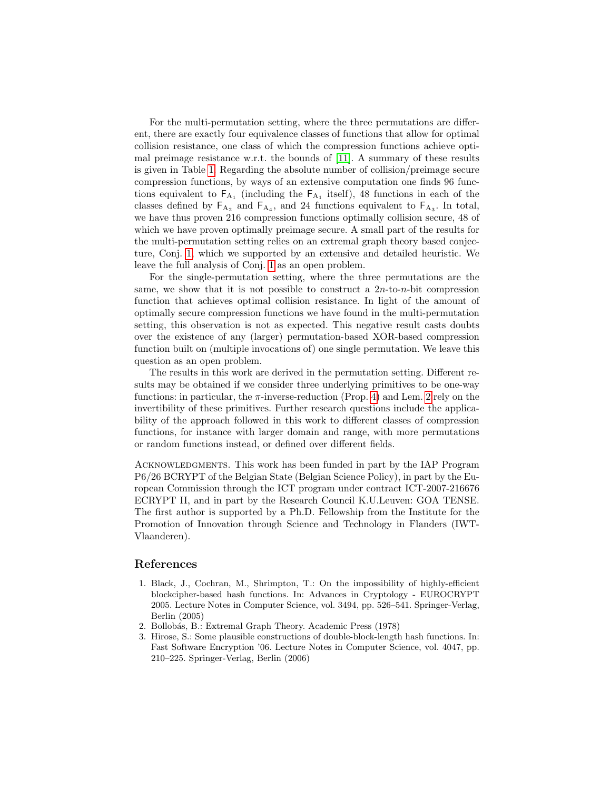For the multi-permutation setting, where the three permutations are different, there are exactly four equivalence classes of functions that allow for optimal collision resistance, one class of which the compression functions achieve optimal preimage resistance w.r.t. the bounds of [\[11\]](#page-16-3). A summary of these results is given in Table [1.](#page-3-0) Regarding the absolute number of collision/preimage secure compression functions, by ways of an extensive computation one finds 96 functions equivalent to  $F_{A_1}$  (including the  $F_{A_1}$  itself), 48 functions in each of the classes defined by  $\mathsf{F}_{A_2}$  and  $\mathsf{F}_{A_4}$ , and 24 functions equivalent to  $\mathsf{F}_{A_3}$ . In total, we have thus proven 216 compression functions optimally collision secure, 48 of which we have proven optimally preimage secure. A small part of the results for the multi-permutation setting relies on an extremal graph theory based conjecture, Conj. [1,](#page-9-0) which we supported by an extensive and detailed heuristic. We leave the full analysis of Conj. [1](#page-9-0) as an open problem.

For the single-permutation setting, where the three permutations are the same, we show that it is not possible to construct a  $2n$ -to- $n$ -bit compression function that achieves optimal collision resistance. In light of the amount of optimally secure compression functions we have found in the multi-permutation setting, this observation is not as expected. This negative result casts doubts over the existence of any (larger) permutation-based XOR-based compression function built on (multiple invocations of) one single permutation. We leave this question as an open problem.

The results in this work are derived in the permutation setting. Different results may be obtained if we consider three underlying primitives to be one-way functions: in particular, the  $\pi$ -inverse-reduction (Prop. [4\)](#page-7-0) and Lem. [2](#page-10-1) rely on the invertibility of these primitives. Further research questions include the applicability of the approach followed in this work to different classes of compression functions, for instance with larger domain and range, with more permutations or random functions instead, or defined over different fields.

ACKNOWLEDGMENTS. This work has been funded in part by the IAP Program P6/26 BCRYPT of the Belgian State (Belgian Science Policy), in part by the European Commission through the ICT program under contract ICT-2007-216676 ECRYPT II, and in part by the Research Council K.U.Leuven: GOA TENSE. The first author is supported by a Ph.D. Fellowship from the Institute for the Promotion of Innovation through Science and Technology in Flanders (IWT-Vlaanderen).

#### References

- <span id="page-15-1"></span>1. Black, J., Cochran, M., Shrimpton, T.: On the impossibility of highly-efficient blockcipher-based hash functions. In: Advances in Cryptology - EUROCRYPT 2005. Lecture Notes in Computer Science, vol. 3494, pp. 526–541. Springer-Verlag, Berlin (2005)
- <span id="page-15-2"></span>2. Bollobás, B.: Extremal Graph Theory. Academic Press (1978)
- <span id="page-15-0"></span>3. Hirose, S.: Some plausible constructions of double-block-length hash functions. In: Fast Software Encryption '06. Lecture Notes in Computer Science, vol. 4047, pp. 210–225. Springer-Verlag, Berlin (2006)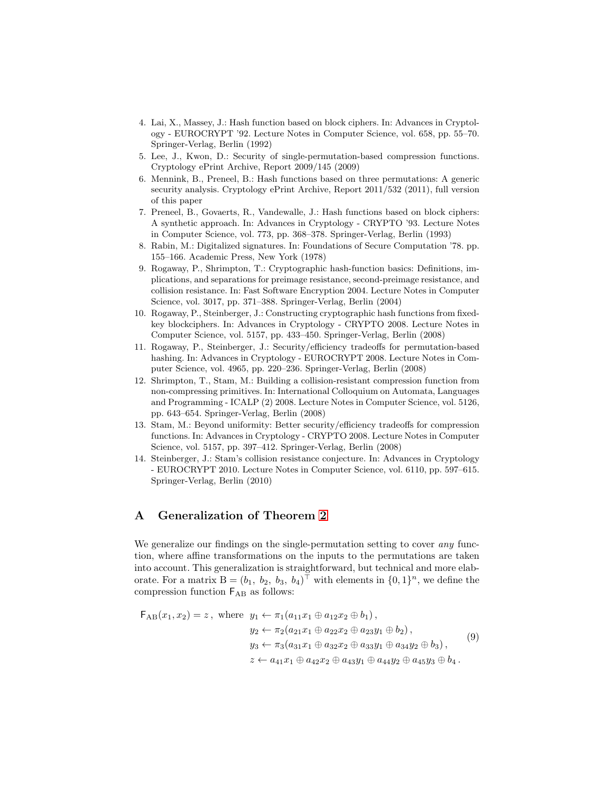- <span id="page-16-0"></span>4. Lai, X., Massey, J.: Hash function based on block ciphers. In: Advances in Cryptology - EUROCRYPT '92. Lecture Notes in Computer Science, vol. 658, pp. 55–70. Springer-Verlag, Berlin (1992)
- <span id="page-16-7"></span>5. Lee, J., Kwon, D.: Security of single-permutation-based compression functions. Cryptology ePrint Archive, Report 2009/145 (2009)
- <span id="page-16-9"></span>6. Mennink, B., Preneel, B.: Hash functions based on three permutations: A generic security analysis. Cryptology ePrint Archive, Report 2011/532 (2011), full version of this paper
- <span id="page-16-1"></span>7. Preneel, B., Govaerts, R., Vandewalle, J.: Hash functions based on block ciphers: A synthetic approach. In: Advances in Cryptology - CRYPTO '93. Lecture Notes in Computer Science, vol. 773, pp. 368–378. Springer-Verlag, Berlin (1993)
- <span id="page-16-2"></span>8. Rabin, M.: Digitalized signatures. In: Foundations of Secure Computation '78. pp. 155–166. Academic Press, New York (1978)
- <span id="page-16-11"></span>9. Rogaway, P., Shrimpton, T.: Cryptographic hash-function basics: Definitions, implications, and separations for preimage resistance, second-preimage resistance, and collision resistance. In: Fast Software Encryption 2004. Lecture Notes in Computer Science, vol. 3017, pp. 371–388. Springer-Verlag, Berlin (2004)
- <span id="page-16-6"></span>10. Rogaway, P., Steinberger, J.: Constructing cryptographic hash functions from fixedkey blockciphers. In: Advances in Cryptology - CRYPTO 2008. Lecture Notes in Computer Science, vol. 5157, pp. 433–450. Springer-Verlag, Berlin (2008)
- <span id="page-16-3"></span>11. Rogaway, P., Steinberger, J.: Security/efficiency tradeoffs for permutation-based hashing. In: Advances in Cryptology - EUROCRYPT 2008. Lecture Notes in Computer Science, vol. 4965, pp. 220–236. Springer-Verlag, Berlin (2008)
- <span id="page-16-8"></span>12. Shrimpton, T., Stam, M.: Building a collision-resistant compression function from non-compressing primitives. In: International Colloquium on Automata, Languages and Programming - ICALP (2) 2008. Lecture Notes in Computer Science, vol. 5126, pp. 643–654. Springer-Verlag, Berlin (2008)
- <span id="page-16-4"></span>13. Stam, M.: Beyond uniformity: Better security/efficiency tradeoffs for compression functions. In: Advances in Cryptology - CRYPTO 2008. Lecture Notes in Computer Science, vol. 5157, pp. 397–412. Springer-Verlag, Berlin (2008)
- <span id="page-16-5"></span>14. Steinberger, J.: Stam's collision resistance conjecture. In: Advances in Cryptology - EUROCRYPT 2010. Lecture Notes in Computer Science, vol. 6110, pp. 597–615. Springer-Verlag, Berlin (2010)

# <span id="page-16-10"></span>A Generalization of Theorem [2](#page-13-2)

We generalize our findings on the single-permutation setting to cover *any* function, where affine transformations on the inputs to the permutations are taken into account. This generalization is straightforward, but technical and more elaborate. For a matrix  $B = (b_1, b_2, b_3, b_4)^\top$  with elements in  $\{0, 1\}^n$ , we define the compression function  $F_{AB}$  as follows:

<span id="page-16-12"></span>
$$
\mathsf{F}_{AB}(x_1, x_2) = z, \text{ where } y_1 \leftarrow \pi_1(a_{11}x_1 \oplus a_{12}x_2 \oplus b_1),
$$
  
\n
$$
y_2 \leftarrow \pi_2(a_{21}x_1 \oplus a_{22}x_2 \oplus a_{23}y_1 \oplus b_2),
$$
  
\n
$$
y_3 \leftarrow \pi_3(a_{31}x_1 \oplus a_{32}x_2 \oplus a_{33}y_1 \oplus a_{34}y_2 \oplus b_3),
$$
  
\n
$$
z \leftarrow a_{41}x_1 \oplus a_{42}x_2 \oplus a_{43}y_1 \oplus a_{44}y_2 \oplus a_{45}y_3 \oplus b_4.
$$
  
\n(9)